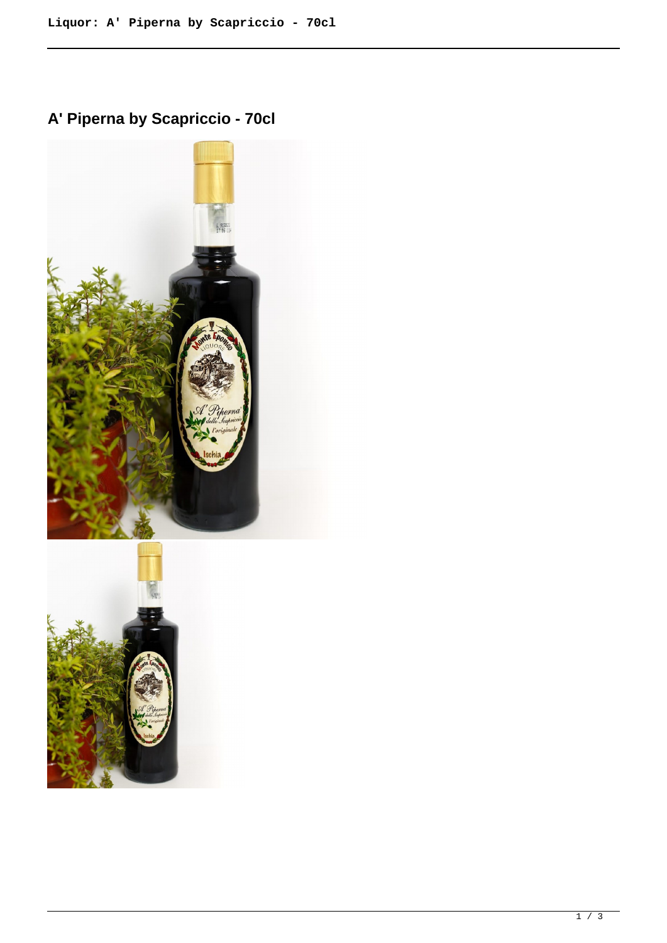**A' Piperna by Scapriccio - 70cl**



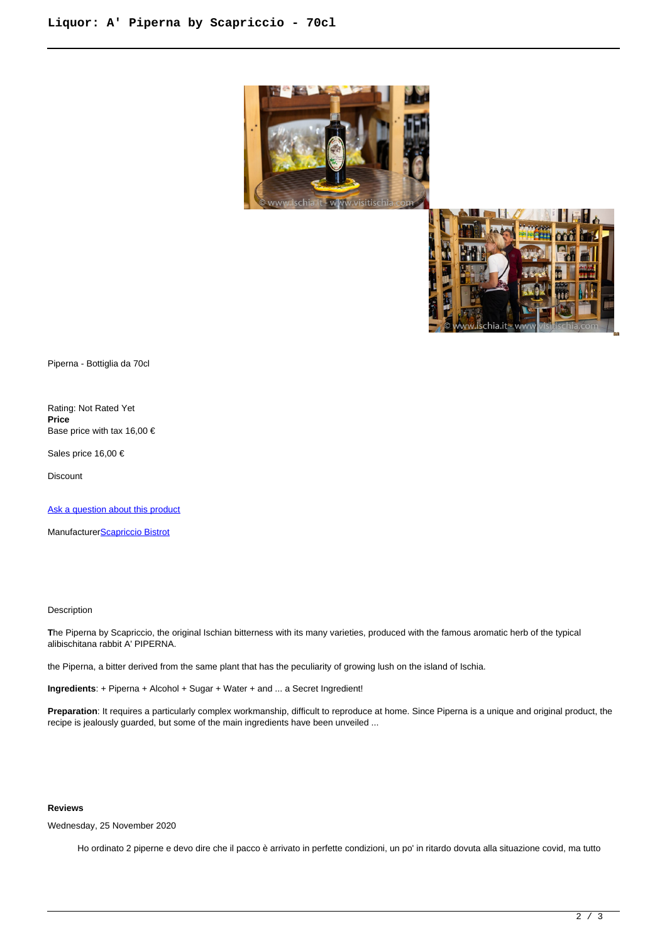



Piperna - Bottiglia da 70cl

Rating: Not Rated Yet **Price**  Base price with tax 16,00 €

Sales price 16,00 €

Discount

[Ask a question about this product](https://shop.ischia.it/index.php?option=com_virtuemart&view=productdetails&task=askquestion&virtuemart_product_id=68&virtuemart_category_id=6&tmpl=component)

Manufacturer**[Scapriccio Bistrot](https://shop.ischia.it/index.php?option=com_virtuemart&view=manufacturer&virtuemart_manufacturer_id=5&tmpl=component)** 

## Description

**T**he Piperna by Scapriccio, the original Ischian bitterness with its many varieties, produced with the famous aromatic herb of the typical alibischitana rabbit A' PIPERNA.

the Piperna, a bitter derived from the same plant that has the peculiarity of growing lush on the island of Ischia.

**Ingredients**: + Piperna + Alcohol + Sugar + Water + and ... a Secret Ingredient!

**Preparation**: It requires a particularly complex workmanship, difficult to reproduce at home. Since Piperna is a unique and original product, the recipe is jealously guarded, but some of the main ingredients have been unveiled ...

## **Reviews**

Wednesday, 25 November 2020

Ho ordinato 2 piperne e devo dire che il pacco è arrivato in perfette condizioni, un po' in ritardo dovuta alla situazione covid, ma tutto